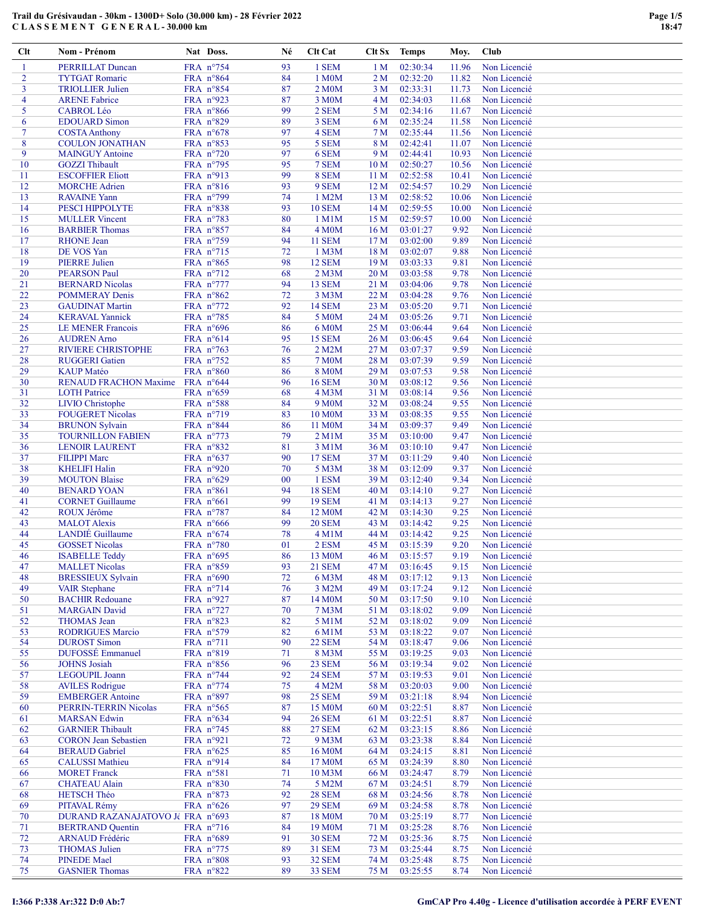| $Cl$ t         | Nom - Prénom                                     | Nat Doss.                                | Né       | Clt Cat                       | Clt Sx                             | <b>Temps</b>         | Moy.          | Club                         |
|----------------|--------------------------------------------------|------------------------------------------|----------|-------------------------------|------------------------------------|----------------------|---------------|------------------------------|
| -1             | <b>PERRILLAT Duncan</b>                          | FRA n°754                                | 93       | 1 SEM                         | 1 <sub>M</sub>                     | 02:30:34             | 11.96         | Non Licencié                 |
| $\overline{2}$ | <b>TYTGAT Romaric</b>                            | FRA n°864                                | 84       | 1 M0M                         | 2 <sub>M</sub>                     | 02:32:20             | 11.82         | Non Licencié                 |
| 3              | <b>TRIOLLIER Julien</b>                          | FRA n°854                                | 87       | 2 M <sub>0</sub> M            | 3 <sub>M</sub>                     | 02:33:31             | 11.73         | Non Licencié                 |
| $\overline{4}$ | <b>ARENE Fabrice</b>                             | FRA nº923                                | 87       | 3 M0M                         | 4 <sub>M</sub>                     | 02:34:03             | 11.68         | Non Licencié                 |
| 5              | <b>CABROL Léo</b>                                | FRA n°866                                | 99       | 2 SEM                         | 5 M                                | 02:34:16             | 11.67         | Non Licencié                 |
| 6              | <b>EDOUARD Simon</b>                             | FRA n°829                                | 89       | 3 SEM                         | 6 M                                | 02:35:24             | 11.58         | Non Licencié                 |
| $\overline{7}$ | <b>COSTA Anthony</b>                             | FRA $n^{\circ}678$                       | 97       | 4 SEM                         | 7 <sub>M</sub>                     | 02:35:44             | 11.56         | Non Licencié                 |
| 8              | <b>COULON JONATHAN</b>                           | FRA $n^{\circ}853$                       | 95       | 5 SEM                         | 8 M                                | 02:42:41             | 11.07         | Non Licencié                 |
| 9              | <b>MAINGUY</b> Antoine                           | FRA n°720                                | 97       | 6 SEM                         | 9 M                                | 02:44:41             | 10.93         | Non Licencié                 |
| 10             | <b>GOZZI</b> Thibault                            | FRA n°795                                | 95       | 7 SEM                         | 10 <sub>M</sub>                    | 02:50:27             | 10.56         | Non Licencié                 |
| 11             | <b>ESCOFFIER Eliott</b>                          | FRA nº913                                | 99       | 8 SEM                         | 11 <sub>M</sub>                    | 02:52:58             | 10.41         | Non Licencié                 |
| 12             | <b>MORCHE Adrien</b>                             | FRA n°816                                | 93       | 9 SEM                         | 12 <sub>M</sub>                    | 02:54:57             | 10.29         | Non Licencié                 |
| 13             | <b>RAVAINE Yann</b>                              | FRA n°799                                | 74       | 1 M2M                         | 13 M                               | 02:58:52             | 10.06         | Non Licencié                 |
| 14             | <b>PESCI HIPPOLYTE</b>                           | FRA n°838                                | 93       | <b>10 SEM</b>                 | 14M                                | 02:59:55             | 10.00         | Non Licencié                 |
| 15<br>16       | <b>MULLER</b> Vincent<br><b>BARBIER Thomas</b>   | FRA n°783<br>FRA n°857                   | 80<br>84 | 1 M1M<br><b>4 M0M</b>         | 15 <sub>M</sub><br>16 <sub>M</sub> | 02:59:57<br>03:01:27 | 10.00<br>9.92 | Non Licencié<br>Non Licencié |
| 17             | <b>RHONE</b> Jean                                | FRA n°759                                | 94       | <b>11 SEM</b>                 | 17 <sub>M</sub>                    | 03:02:00             | 9.89          | Non Licencié                 |
| 18             | DE VOS Yan                                       | FRA n°715                                | 72       | 1 M3M                         | 18 M                               | 03:02:07             | 9.88          | Non Licencié                 |
| 19             | <b>PIERRE Julien</b>                             | FRA n°865                                | 98       | 12 SEM                        | 19 <sub>M</sub>                    | 03:03:33             | 9.81          | Non Licencié                 |
| 20             | <b>PEARSON Paul</b>                              | FRA $n^{\circ}712$                       | 68       | $2$ M $3$ M                   | 20 <sub>M</sub>                    | 03:03:58             | 9.78          | Non Licencié                 |
| 21             | <b>BERNARD Nicolas</b>                           | FRA n°777                                | 94       | 13 SEM                        | 21 M                               | 03:04:06             | 9.78          | Non Licencié                 |
| 22             | <b>POMMERAY Denis</b>                            | FRA n°862                                | 72       | 3 M3M                         | 22 M                               | 03:04:28             | 9.76          | Non Licencié                 |
| 23             | <b>GAUDINAT Martin</b>                           | FRA $n^{\circ}772$                       | 92       | <b>14 SEM</b>                 | 23 M                               | 03:05:20             | 9.71          | Non Licencié                 |
| 24             | <b>KERAVAL Yannick</b>                           | FRA n°785                                | 84       | 5 M0M                         | 24 M                               | 03:05:26             | 9.71          | Non Licencié                 |
| 25             | <b>LE MENER Francois</b>                         | FRA $n^{\circ}696$                       | 86       | 6 M0M                         | 25 M                               | 03:06:44             | 9.64          | Non Licencié                 |
| 26             | <b>AUDREN Arno</b>                               | FRA $n^{\circ}614$                       | 95       | 15 SEM                        | 26 M                               | 03:06:45             | 9.64          | Non Licencié                 |
| 27             | <b>RIVIERE CHRISTOPHE</b>                        | FRA $n^{\circ}$ 763                      | 76       | 2 M2M                         | 27 <sub>M</sub>                    | 03:07:37             | 9.59          | Non Licencié                 |
| 28             | <b>RUGGERI</b> Gatien                            | FRA n°752                                | 85       | <b>7 M0M</b>                  | 28 M                               | 03:07:39             | 9.59          | Non Licencié                 |
| 29             | <b>KAUP</b> Matéo                                | FRA n°860                                | 86       | <b>8 M0M</b>                  | 29 M                               | 03:07:53             | 9.58          | Non Licencié                 |
| 30             | <b>RENAUD FRACHON Maxime</b>                     | FRA $n^{\circ}644$                       | 96       | <b>16 SEM</b>                 | 30 M                               | 03:08:12             | 9.56          | Non Licencié                 |
| 31             | <b>LOTH Patrice</b>                              | FRA $n^{\circ}659$                       | 68       | 4 M3M                         | 31 M                               | 03:08:14             | 9.56          | Non Licencié                 |
| 32             | <b>LIVIO</b> Christophe                          | FRA $n^{\circ}588$                       | 84       | 9 M <sub>0</sub> M            | 32 M                               | 03:08:24             | 9.55          | Non Licencié                 |
| 33<br>34       | <b>FOUGERET Nicolas</b><br><b>BRUNON Sylvain</b> | FRA n°719<br>FRA $n^{\circ}844$          | 83<br>86 | 10 M <sub>0</sub> M<br>11 M0M | 33 M<br>34 M                       | 03:08:35<br>03:09:37 | 9.55<br>9.49  | Non Licencié<br>Non Licencié |
| 35             | <b>TOURNILLON FABIEN</b>                         | FRA n°773                                | 79       | $2$ M $1$ M                   | 35 M                               | 03:10:00             | 9.47          | Non Licencié                 |
| 36             | <b>LENOIR LAURENT</b>                            | FRA n°832                                | 81       | 3 M1M                         | 36 M                               | 03:10:10             | 9.47          | Non Licencié                 |
| 37             | <b>FILIPPI Marc</b>                              | FRA $n^{\circ}637$                       | 90       | <b>17 SEM</b>                 | 37 M                               | 03:11:29             | 9.40          | Non Licencié                 |
| 38             | <b>KHELIFI Halin</b>                             | FRA $n°920$                              | 70       | 5 M3M                         | 38 M                               | 03:12:09             | 9.37          | Non Licencié                 |
| 39             | <b>MOUTON Blaise</b>                             | FRA $n^{\circ}629$                       | 00       | 1 ESM                         | 39 M                               | 03:12:40             | 9.34          | Non Licencié                 |
| 40             | <b>BENARD YOAN</b>                               | FRA n°861                                | 94       | <b>18 SEM</b>                 | 40 M                               | 03:14:10             | 9.27          | Non Licencié                 |
| 41             | <b>CORNET Guillaume</b>                          | FRA $n^{\circ}661$                       | 99       | <b>19 SEM</b>                 | 41 M                               | 03:14:13             | 9.27          | Non Licencié                 |
| 42             | ROUX Jérôme                                      | FRA n°787                                | 84       | 12 M <sub>0</sub> M           | 42 M                               | 03:14:30             | 9.25          | Non Licencié                 |
| 43             | <b>MALOT</b> Alexis                              | FRA $n^{\circ}666$                       | 99       | <b>20 SEM</b>                 | 43 M                               | 03:14:42             | 9.25          | Non Licencié                 |
| 44             | LANDIÉ Guillaume                                 | FRA $n^{\circ}674$                       | 78       | 4 M1M                         | 44 M                               | 03:14:42             | 9.25          | Non Licencié                 |
| 45             | <b>GOSSET Nicolas</b>                            | FRA $n^{\circ}780$                       | 01       | 2 ESM                         | 45 M                               | 03:15:39             | 9.20          | Non Licencié                 |
| 46             | <b>ISABELLE Teddy</b>                            | FRA $n^{\circ}695$                       | 86       | 13 M <sub>0</sub> M           | 46 M                               | 03:15:57             | 9.19          | Non Licencié                 |
| 47             | <b>MALLET Nicolas</b>                            | FRA n°859                                | 93       | <b>21 SEM</b>                 | 47 M                               | 03:16:45             | 9.15          | Non Licencié                 |
| 48<br>49       | <b>BRESSIEUX Sylvain</b>                         | FRA n°690<br>FRA n°714                   | 72       | 6 M3M                         | 48 M                               | 03:17:12             | 9.13          | Non Licencié                 |
| 50             | <b>VAIR Stephane</b><br><b>BACHIR Redouane</b>   | FRA nº927                                | 76<br>87 | 3 M2M<br>14 M <sub>0</sub> M  | 49 M<br>50 M                       | 03:17:24<br>03:17:50 | 9.12<br>9.10  | Non Licencié<br>Non Licencié |
| 51             | <b>MARGAIN David</b>                             | FRA $n^{\circ}727$                       | 70       | 7 M3M                         | 51 M                               | 03:18:02             | 9.09          | Non Licencié                 |
| 52             | <b>THOMAS</b> Jean                               | FRA $n^{\circ}823$                       | 82       | 5 M1M                         | 52 M                               | 03:18:02             | 9.09          | Non Licencié                 |
| 53             | <b>RODRIGUES Marcio</b>                          | FRA $n^{\circ}579$                       | 82       | 6 M1M                         | 53 M                               | 03:18:22             | 9.07          | Non Licencié                 |
| 54             | <b>DUROST Simon</b>                              | FRA $n^{\circ}711$                       | 90       | <b>22 SEM</b>                 | 54 M                               | 03:18:47             | 9.06          | Non Licencié                 |
| 55             | <b>DUFOSSÉ</b> Emmanuel                          | FRA $n^{\circ}819$                       | 71       | 8 M3M                         | 55 M                               | 03:19:25             | 9.03          | Non Licencié                 |
| 56             | <b>JOHNS</b> Josiah                              | FRA n°856                                | 96       | <b>23 SEM</b>                 | 56 M                               | 03:19:34             | 9.02          | Non Licencié                 |
| 57             | <b>LEGOUPIL Joann</b>                            | FRA $n^{\circ}$ 744                      | 92       | <b>24 SEM</b>                 | 57 M                               | 03:19:53             | 9.01          | Non Licencié                 |
| 58             | <b>AVILES</b> Rodrigue                           | FRA $n^{\circ}$ 774                      | 75       | 4 M2M                         | 58 M                               | 03:20:03             | 9.00          | Non Licencié                 |
| 59             | <b>EMBERGER Antoine</b>                          | FRA n°897                                | 98       | <b>25 SEM</b>                 | 59 M                               | 03:21:18             | 8.94          | Non Licencié                 |
| 60             | PERRIN-TERRIN Nicolas                            | FRA $n^{\circ}565$                       | 87       | 15 M <sub>0</sub> M           | 60 M                               | 03:22:51             | 8.87          | Non Licencié                 |
| 61             | <b>MARSAN Edwin</b>                              | FRA $n^{\circ}634$                       | 94       | <b>26 SEM</b>                 | 61 M                               | 03:22:51             | 8.87          | Non Licencié                 |
| 62             | <b>GARNIER Thibault</b>                          | FRA $n^{\circ}$ 745                      | 88       | <b>27 SEM</b>                 | 62 M                               | 03:23:15             | 8.86          | Non Licencié                 |
| 63             | <b>CORON</b> Jean Sebastien                      | FRA $n^{\circ}921$                       | 72       | 9 M3M                         | 63 M                               | 03:23:38             | 8.84          | Non Licencié                 |
| 64             | <b>BERAUD</b> Gabriel                            | FRA $n^{\circ}625$                       | 85       | 16 M <sub>0</sub> M           | 64 M                               | 03:24:15             | 8.81          | Non Licencié                 |
| 65<br>66       | <b>CALUSSI Mathieu</b><br><b>MORET Franck</b>    | FRA $n^{\circ}914$<br>FRA $n^{\circ}581$ | 84<br>71 | 17 M <sub>0</sub> M<br>10 M3M | 65 M<br>66 M                       | 03:24:39<br>03:24:47 | 8.80<br>8.79  | Non Licencié<br>Non Licencié |
| 67             | <b>CHATEAU Alain</b>                             | FRA $n^{\circ}830$                       | 74       | 5 M2M                         | 67 M                               | 03:24:51             | 8.79          | Non Licencié                 |
| 68             | <b>HETSCH Théo</b>                               | FRA $n^{\circ}873$                       | 92       | <b>28 SEM</b>                 | 68 M                               | 03:24:56             | 8.78          | Non Licencié                 |
| 69             | PITAVAL Rémy                                     | FRA $n^{\circ}626$                       | 97       | <b>29 SEM</b>                 | 69 M                               | 03:24:58             | 8.78          | Non Licencié                 |
| 70             | DURAND RAZANAJATOVO Jé FRA nº693                 |                                          | 87       | 18 M <sub>0</sub> M           | 70 M                               | 03:25:19             | 8.77          | Non Licencié                 |
| 71             | <b>BERTRAND</b> Quentin                          | FRA $n^{\circ}$ 716                      | 84       | 19 M <sub>0</sub> M           | 71 M                               | 03:25:28             | 8.76          | Non Licencié                 |
| 72             | <b>ARNAUD Frédéric</b>                           | FRA $n^{\circ}689$                       | 91       | <b>30 SEM</b>                 | 72 M                               | 03:25:36             | 8.75          | Non Licencié                 |
| 73             | <b>THOMAS Julien</b>                             | FRA n°775                                | 89       | 31 SEM                        | 73 M                               | 03:25:44             | 8.75          | Non Licencié                 |
| 74             | <b>PINEDE</b> Mael                               | FRA $n^{\circ}808$                       | 93       | 32 SEM                        | 74 M                               | 03:25:48             | 8.75          | Non Licencié                 |
| 75             | <b>GASNIER Thomas</b>                            | FRA $n^{\circ}822$                       | 89       | 33 SEM                        | 75 M                               | 03:25:55             | 8.74          | Non Licencié                 |

 $\equiv$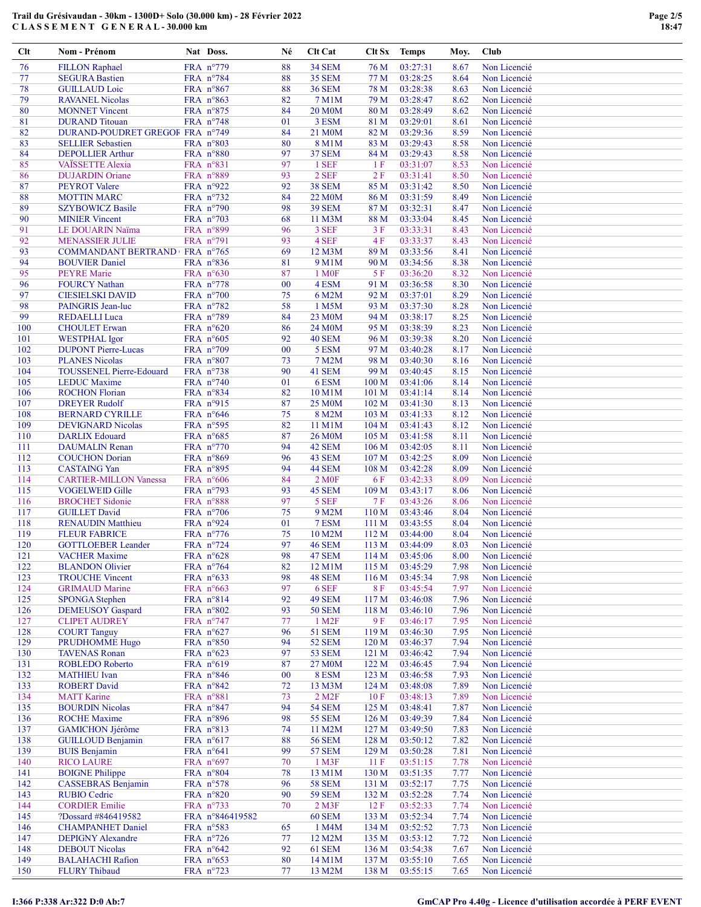| $Cl$ t     | Nom - Prénom                                     | Nat Doss.                                | Né       | Clt Cat                        | Clt Sx                               | <b>Temps</b>         | Moy.         | Club                         |
|------------|--------------------------------------------------|------------------------------------------|----------|--------------------------------|--------------------------------------|----------------------|--------------|------------------------------|
| 76         | <b>FILLON Raphael</b>                            | FRA n°779                                | 88       | <b>34 SEM</b>                  | 76 M                                 | 03:27:31             | 8.67         | Non Licencié                 |
| 77         | <b>SEGURA Bastien</b>                            | FRA n°784                                | 88       | <b>35 SEM</b>                  | 77 M                                 | 03:28:25             | 8.64         | Non Licencié                 |
| 78         | <b>GUILLAUD</b> Loic                             | FRA n°867                                | 88       | <b>36 SEM</b>                  | 78 M                                 | 03:28:38             | 8.63         | Non Licencié                 |
| 79         | <b>RAVANEL Nicolas</b>                           | FRA n°863                                | 82       | 7 M1M                          | 79 M                                 | 03:28:47             | 8.62         | Non Licencié                 |
| 80         | <b>MONNET</b> Vincent                            | FRA n°875                                | 84       | <b>20 M0M</b>                  | 80 M                                 | 03:28:49             | 8.62         | Non Licencié                 |
| 81         | <b>DURAND</b> Titouan                            | FRA $n^{\circ}$ 748                      | 01       | 3 ESM                          | 81 M                                 | 03:29:01             | 8.61         | Non Licencié                 |
| 82         | DURAND-POUDRET GREGOF FRA n°749                  |                                          | 84       | 21 M0M                         | 82 M                                 | 03:29:36             | 8.59         | Non Licencié                 |
| 83<br>84   | <b>SELLIER Sebastien</b>                         | FRA $n^{\circ}803$<br>FRA n°880          | 80<br>97 | 8 M1M<br><b>37 SEM</b>         | 83 M                                 | 03:29:43<br>03:29:43 | 8.58<br>8.58 | Non Licencié                 |
| 85         | <b>DEPOLLIER Arthur</b><br>VAÏSSETTE Alexia      | FRA n°831                                | 97       | 1 SEF                          | 84 M<br>1 F                          | 03:31:07             | 8.53         | Non Licencié<br>Non Licencié |
| 86         | <b>DUJARDIN Oriane</b>                           | FRA n°889                                | 93       | 2 SEF                          | 2F                                   | 03:31:41             | 8.50         | Non Licencié                 |
| 87         | <b>PEYROT</b> Valere                             | FRA nº922                                | 92       | <b>38 SEM</b>                  | 85 M                                 | 03:31:42             | 8.50         | Non Licencié                 |
| 88         | <b>MOTTIN MARC</b>                               | FRA $n^{\circ}$ 732                      | 84       | 22 M0M                         | 86 M                                 | 03:31:59             | 8.49         | Non Licencié                 |
| 89         | <b>SZYBOWICZ Basile</b>                          | FRA n°790                                | 98       | <b>39 SEM</b>                  | 87 M                                 | 03:32:31             | 8.47         | Non Licencié                 |
| 90         | <b>MINIER Vincent</b>                            | FRA n°703                                | 68       | 11 M3M                         | 88 M                                 | 03:33:04             | 8.45         | Non Licencié                 |
| 91         | LE DOUARIN Naïma                                 | FRA n°899                                | 96       | 3 SEF                          | 3F                                   | 03:33:31             | 8.43         | Non Licencié                 |
| 92         | <b>MENASSIER JULIE</b>                           | FRA n°791                                | 93       | 4 SEF                          | 4 F                                  | 03:33:37             | 8.43         | Non Licencié                 |
| 93         | COMMANDANT BERTRAND FRA nº765                    |                                          | 69       | 12 M3M                         | 89 M                                 | 03:33:56             | 8.41         | Non Licencié                 |
| 94<br>95   | <b>BOUVIER Daniel</b>                            | FRA n°836                                | 81<br>87 | 9 M1M                          | 90 M<br>5F                           | 03:34:56<br>03:36:20 | 8.38<br>8.32 | Non Licencié                 |
| 96         | <b>PEYRE</b> Marie<br><b>FOURCY Nathan</b>       | FRA $n^{\circ}630$<br>FRA $n^{\circ}778$ | 00       | 1 M <sub>OF</sub><br>4 ESM     | 91 M                                 | 03:36:58             | 8.30         | Non Licencié<br>Non Licencié |
| 97         | <b>CIESIELSKI DAVID</b>                          | FRA $n°700$                              | 75       | 6 M2M                          | 92 M                                 | 03:37:01             | 8.29         | Non Licencié                 |
| 98         | PAINGRIS Jean-luc                                | FRA n°782                                | 58       | 1 M5M                          | 93 M                                 | 03:37:30             | 8.28         | Non Licencié                 |
| 99         | <b>REDAELLI</b> Luca                             | FRA n°789                                | 84       | 23 M0M                         | 94 M                                 | 03:38:17             | 8.25         | Non Licencié                 |
| 100        | <b>CHOULET</b> Erwan                             | FRA $n^{\circ}620$                       | 86       | 24 M0M                         | 95 M                                 | 03:38:39             | 8.23         | Non Licencié                 |
| 101        | <b>WESTPHAL</b> Igor                             | FRA $n^{\circ}605$                       | 92       | 40 SEM                         | 96 M                                 | 03:39:38             | 8.20         | Non Licencié                 |
| 102        | <b>DUPONT Pierre-Lucas</b>                       | FRA $n^{\circ}709$                       | $00\,$   | 5 ESM                          | 97 M                                 | 03:40:28             | 8.17         | Non Licencié                 |
| 103        | <b>PLANES Nicolas</b>                            | FRA n°807                                | 73       | 7 M2M                          | 98 M                                 | 03:40:30             | 8.16         | Non Licencié                 |
| 104        | TOUSSENEL Pierre-Edouard                         | FRA n°738                                | 90       | 41 SEM                         | 99 M                                 | 03:40:45             | 8.15         | Non Licencié                 |
| 105        | <b>LEDUC</b> Maxime                              | FRA $n^{\circ}740$                       | 01       | 6 ESM                          | 100 M                                | 03:41:06             | 8.14         | Non Licencié                 |
| 106<br>107 | <b>ROCHON Florian</b>                            | FRA n°834                                | 82<br>87 | 10 M1M<br>25 M <sub>0</sub> M  | 101 M                                | 03:41:14             | 8.14<br>8.13 | Non Licencié<br>Non Licencié |
| 108        | <b>DREYER Rudolf</b><br><b>BERNARD CYRILLE</b>   | FRA $n^{\circ}915$<br>FRA $n^{\circ}646$ | 75       | 8 M2M                          | 102 <sub>M</sub><br>103 <sub>M</sub> | 03:41:30<br>03:41:33 | 8.12         | Non Licencié                 |
| 109        | <b>DEVIGNARD Nicolas</b>                         | FRA $n^{\circ}595$                       | 82       | 11 M1M                         | 104 <sub>M</sub>                     | 03:41:43             | 8.12         | Non Licencié                 |
| 110        | <b>DARLIX Edouard</b>                            | FRA n°685                                | 87       | <b>26 M0M</b>                  | 105 M                                | 03:41:58             | 8.11         | Non Licencié                 |
| 111        | <b>DAUMALIN</b> Renan                            | FRA n°770                                | 94       | 42 SEM                         | 106 M                                | 03:42:05             | 8.11         | Non Licencié                 |
| 112        | <b>COUCHON</b> Dorian                            | FRA n°869                                | 96       | 43 SEM                         | 107 M                                | 03:42:25             | 8.09         | Non Licencié                 |
| 113        | <b>CASTAING Yan</b>                              | FRA n°895                                | 94       | 44 SEM                         | 108 M                                | 03:42:28             | 8.09         | Non Licencié                 |
| 114        | <b>CARTIER-MILLON Vanessa</b>                    | FRA $n^{\circ}606$                       | 84       | 2 M0F                          | 6 F                                  | 03:42:33             | 8.09         | Non Licencié                 |
| 115        | <b>VOGELWEID Gille</b>                           | FRA n°793                                | 93       | 45 SEM                         | 109 M                                | 03:43:17             | 8.06         | Non Licencié                 |
| 116        | <b>BROCHET Sidonie</b>                           | FRA n°888                                | 97       | 5 SEF                          | 7F                                   | 03:43:26             | 8.06         | Non Licencié                 |
| 117<br>118 | <b>GUILLET David</b><br><b>RENAUDIN Matthieu</b> | FRA n°706<br>FRA nº924                   | 75<br>01 | 9 M2M<br>7 ESM                 | 110 <sub>M</sub><br>111 <sub>M</sub> | 03:43:46<br>03:43:55 | 8.04<br>8.04 | Non Licencié<br>Non Licencié |
| 119        | <b>FLEUR FABRICE</b>                             | FRA n°776                                | 75       | 10 M2M                         | 112M                                 | 03:44:00             | 8.04         | Non Licencié                 |
| 120        | <b>GOTTLOEBER Leander</b>                        | FRA $n^{\circ}$ 724                      | 97       | <b>46 SEM</b>                  | 113M                                 | 03:44:09             | 8.03         | Non Licencié                 |
| 121        | <b>VACHER Maxime</b>                             | FRA $n^{\circ}628$                       | 98       | <b>47 SEM</b>                  | 114M                                 | 03:45:06             | 8.00         | Non Licencié                 |
| 122        | <b>BLANDON Olivier</b>                           | FRA n°764                                | 82       | 12 M1M                         | 115M                                 | 03:45:29             | 7.98         | Non Licencié                 |
| 123        | <b>TROUCHE Vincent</b>                           | FRA $n^{\circ}633$                       | 98       | 48 SEM                         | 116M                                 | 03:45:34             | 7.98         | Non Licencié                 |
| 124        | <b>GRIMAUD Marine</b>                            | FRA n°663                                | 97       | 6 SEF                          | 8F                                   | 03:45:54             | 7.97         | Non Licencié                 |
| 125        | <b>SPONGA Stephen</b>                            | FRA n°814                                | 92       | <b>49 SEM</b>                  | 117 M                                | 03:46:08             | 7.96         | Non Licencié                 |
| 126        | <b>DEMEUSOY</b> Gaspard                          | FRA $n^{\circ}802$                       | 93       | <b>50 SEM</b>                  | 118 <sub>M</sub>                     | 03:46:10             | 7.96         | Non Licencié                 |
| 127        | <b>CLIPET AUDREY</b>                             | FRA $n^{\circ}$ 747                      | 77       | 1 M <sub>2</sub> F             | 9 F                                  | 03:46:17             | 7.95         | Non Licencié                 |
| 128<br>129 | <b>COURT Tanguy</b><br>PRUDHOMME Hugo            | FRA $n^{\circ}627$<br>FRA n°850          | 96<br>94 | 51 SEM<br><b>52 SEM</b>        | 119 <sub>M</sub><br>120 <sub>M</sub> | 03:46:30<br>03:46:37 | 7.95<br>7.94 | Non Licencié<br>Non Licencié |
| 130        | <b>TAVENAS Ronan</b>                             | FRA $n^{\circ}623$                       | 97       | <b>53 SEM</b>                  | 121 M                                | 03:46:42             | 7.94         | Non Licencié                 |
| 131        | ROBLEDO Roberto                                  | FRA $n^{\circ}619$                       | 87       | 27 M <sub>0</sub> M            | 122 M                                | 03:46:45             | 7.94         | Non Licencié                 |
| 132        | <b>MATHIEU</b> Ivan                              | FRA n°846                                | 00       | 8 ESM                          | 123 <sub>M</sub>                     | 03:46:58             | 7.93         | Non Licencié                 |
| 133        | <b>ROBERT David</b>                              | FRA $n^{\circ}842$                       | 72       | 13 M3M                         | 124M                                 | 03:48:08             | 7.89         | Non Licencié                 |
| 134        | <b>MATT</b> Karine                               | FRA n°881                                | 73       | $2$ M <sub>2</sub> F           | 10F                                  | 03:48:13             | 7.89         | Non Licencié                 |
| 135        | <b>BOURDIN Nicolas</b>                           | FRA $n^{\circ}847$                       | 94       | <b>54 SEM</b>                  | 125 M                                | 03:48:41             | 7.87         | Non Licencié                 |
| 136        | <b>ROCHE</b> Maxime                              | FRA n°896                                | 98       | <b>55 SEM</b>                  | 126 M                                | 03:49:39             | 7.84         | Non Licencié                 |
| 137        | <b>GAMICHON Jjérôme</b>                          | FRA $n^{\circ}813$                       | 74       | 11 M2M                         | 127 M                                | 03:49:50             | 7.83         | Non Licencié                 |
| 138<br>139 | <b>GUILLOUD Benjamin</b><br><b>BUIS Benjamin</b> | FRA $n^{\circ}617$<br>FRA $n^{\circ}641$ | 88<br>99 | <b>56 SEM</b><br><b>57 SEM</b> | 128 M<br>129 M                       | 03:50:12             | 7.82<br>7.81 | Non Licencié<br>Non Licencié |
| 140        | <b>RICO LAURE</b>                                | FRA $n^{\circ}697$                       | 70       | 1 M3F                          | 11F                                  | 03:50:28<br>03:51:15 | 7.78         | Non Licencié                 |
| 141        | <b>BOIGNE Philippe</b>                           | FRA n°804                                | 78       | 13 M1M                         | 130 <sub>M</sub>                     | 03:51:35             | 7.77         | Non Licencié                 |
| 142        | CASSEBRAS Benjamin                               | FRA $n^{\circ}578$                       | 96       | <b>58 SEM</b>                  | 131 M                                | 03:52:17             | 7.75         | Non Licencié                 |
| 143        | <b>RUBIO Cedric</b>                              | FRA n°820                                | 90       | <b>59 SEM</b>                  | 132 M                                | 03:52:28             | 7.74         | Non Licencié                 |
| 144        | <b>CORDIER Emilie</b>                            | FRA $n^{\circ}$ 733                      | 70       | $2$ M $3F$                     | 12F                                  | 03:52:33             | 7.74         | Non Licencié                 |
| 145        | ?Dossard #846419582                              | FRA n°846419582                          |          | <b>60 SEM</b>                  | 133 M                                | 03:52:34             | 7.74         | Non Licencié                 |
| 146        | <b>CHAMPANHET Daniel</b>                         | FRA $n^{\circ}583$                       | 65       | 1 M4M                          | 134 M                                | 03:52:52             | 7.73         | Non Licencié                 |
| 147        | <b>DEPIGNY Alexandre</b>                         | FRA $n^{\circ}$ 726                      | 77       | 12 M2M                         | 135 M                                | 03:53:12             | 7.72         | Non Licencié                 |
| 148        | <b>DEBOUT Nicolas</b>                            | FRA $n^{\circ}642$                       | 92       | 61 SEM                         | 136 <sub>M</sub>                     | 03:54:38             | 7.67         | Non Licencié                 |
| 149<br>150 | <b>BALAHACHI Rafion</b><br><b>FLURY Thibaud</b>  | FRA $n^{\circ}653$<br>FRA n°723          | 80<br>77 | 14 M1M<br>13 M2M               | 137 M<br>138 M                       | 03:55:10<br>03:55:15 | 7.65<br>7.65 | Non Licencié<br>Non Licencié |
|            |                                                  |                                          |          |                                |                                      |                      |              |                              |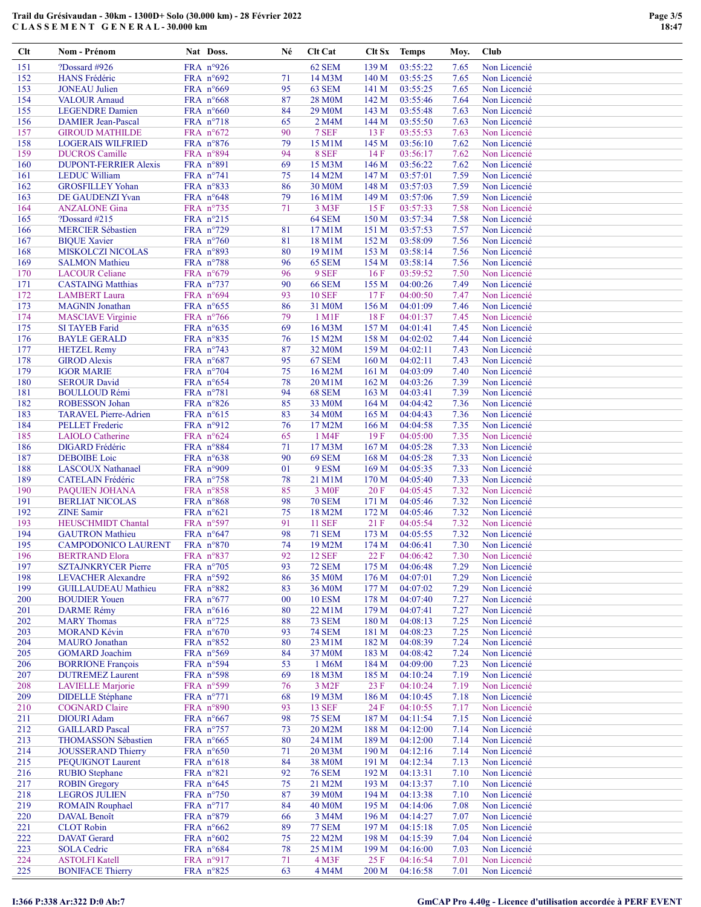| $Cl$ t     | Nom - Prénom                                            | Nat Doss.                                | Né       | Clt Cat                      | Clt Sx           | <b>Temps</b>         | Moy.         | Club                         |
|------------|---------------------------------------------------------|------------------------------------------|----------|------------------------------|------------------|----------------------|--------------|------------------------------|
| 151        | ?Dossard #926                                           | FRA nº926                                |          | 62 SEM                       | 139 M            | 03:55:22             | 7.65         | Non Licencié                 |
| 152        | HANS Frédéric                                           | FRA n°692                                | 71       | 14 M3M                       | 140 M            | 03:55:25             | 7.65         | Non Licencié                 |
| 153        | <b>JONEAU</b> Julien                                    | FRA $n^{\circ}669$                       | 95       | 63 SEM                       | 141 M            | 03:55:25             | 7.65         | Non Licencié                 |
| 154        | <b>VALOUR Arnaud</b>                                    | FRA n°668                                | 87       | <b>28 M0M</b>                | 142 M            | 03:55:46             | 7.64         | Non Licencié                 |
| 155        | <b>LEGENDRE</b> Damien                                  | FRA $n^{\circ}660$                       | 84       | <b>29 M0M</b>                | 143 M            | 03:55:48             | 7.63         | Non Licencié                 |
| 156        | <b>DAMIER Jean-Pascal</b>                               | FRA $n^{\circ}718$                       | 65       | 2 M4M                        | 144 M            | 03:55:50             | 7.63         | Non Licencié                 |
| 157        | <b>GIROUD MATHILDE</b>                                  | FRA n°672                                | 90       | 7 SEF                        | 13 F             | 03:55:53             | 7.63         | Non Licencié                 |
| 158        | <b>LOGERAIS WILFRIED</b>                                | FRA $n^{\circ}876$                       | 79       | 15 M1M                       | 145 M            | 03:56:10             | 7.62         | Non Licencié                 |
| 159        | <b>DUCROS</b> Camille                                   | FRA n°894                                | 94       | 8 SEF                        | 14F              | 03:56:17             | 7.62         | Non Licencié                 |
| 160<br>161 | <b>DUPONT-FERRIER Alexis</b><br><b>LEDUC William</b>    | FRA n°891<br>FRA n°741                   | 69<br>75 | 15 M3M<br>14 M2M             | 146 M<br>147 M   | 03:56:22<br>03:57:01 | 7.62<br>7.59 | Non Licencié<br>Non Licencié |
| 162        | <b>GROSFILLEY Yohan</b>                                 | FRA n°833                                | 86       | 30 M0M                       | 148 M            | 03:57:03             | 7.59         | Non Licencié                 |
| 163        | DE GAUDENZI Yvan                                        | FRA n°648                                | 79       | 16 M1M                       | 149 M            | 03:57:06             | 7.59         | Non Licencié                 |
| 164        | <b>ANZALONE</b> Gina                                    | FRA $n^{\circ}$ 735                      | 71       | 3 M3F                        | 15F              | 03:57:33             | 7.58         | Non Licencié                 |
| 165        | ?Dossard $#215$                                         | FRA nº215                                |          | 64 SEM                       | 150 M            | 03:57:34             | 7.58         | Non Licencié                 |
| 166        | <b>MERCIER Sébastien</b>                                | FRA n°729                                | 81       | 17 M1M                       | 151 M            | 03:57:53             | 7.57         | Non Licencié                 |
| 167        | <b>BIQUE Xavier</b>                                     | FRA $n^{\circ}760$                       | 81       | 18 M1M                       | 152 M            | 03:58:09             | 7.56         | Non Licencié                 |
| 168        | <b>MISKOLCZI NICOLAS</b>                                | FRA n°893                                | 80       | 19 M1M                       | 153 M            | 03:58:14             | 7.56         | Non Licencié                 |
| 169        | <b>SALMON Mathieu</b>                                   | FRA n°788                                | 96       | 65 SEM                       | 154 M            | 03:58:14             | 7.56         | Non Licencié                 |
| 170        | <b>LACOUR Celiane</b>                                   | FRA $n^{\circ}679$                       | 96       | 9 SEF                        | 16F              | 03:59:52             | 7.50         | Non Licencié                 |
| 171        | <b>CASTAING Matthias</b>                                | FRA $n^{\circ}$ 737                      | 90       | <b>66 SEM</b>                | 155 M            | 04:00:26             | 7.49         | Non Licencié                 |
| 172<br>173 | <b>LAMBERT</b> Laura                                    | FRA n°694<br>FRA n°655                   | 93<br>86 | <b>10 SEF</b>                | 17F<br>156 M     | 04:00:50             | 7.47<br>7.46 | Non Licencié<br>Non Licencié |
| 174        | <b>MAGNIN</b> Jonathan<br><b>MASCIAVE Virginie</b>      | FRA n°766                                | 79       | 31 M <sub>0</sub> M<br>1 M1F | 18F              | 04:01:09<br>04:01:37 | 7.45         | Non Licencié                 |
| 175        | <b>SI TAYEB Farid</b>                                   | FRA $n^{\circ}635$                       | 69       | 16 M3M                       | 157 M            | 04:01:41             | 7.45         | Non Licencié                 |
| 176        | <b>BAYLE GERALD</b>                                     | FRA n°835                                | 76       | 15 M2M                       | 158 M            | 04:02:02             | 7.44         | Non Licencié                 |
| 177        | <b>HETZEL Remy</b>                                      | FRA $n^{\circ}$ 743                      | 87       | 32 M <sub>0</sub> M          | 159 M            | 04:02:11             | 7.43         | Non Licencié                 |
| 178        | <b>GIROD Alexis</b>                                     | FRA $n^{\circ}687$                       | 95       | 67 SEM                       | 160 <sub>M</sub> | 04:02:11             | 7.43         | Non Licencié                 |
| 179        | <b>IGOR MARIE</b>                                       | FRA n°704                                | 75       | 16 M2M                       | 161 M            | 04:03:09             | 7.40         | Non Licencié                 |
| 180        | <b>SEROUR David</b>                                     | FRA n°654                                | 78       | 20 M1M                       | 162 M            | 04:03:26             | 7.39         | Non Licencié                 |
| 181        | <b>BOULLOUD Rémi</b>                                    | FRA n°781                                | 94       | <b>68 SEM</b>                | 163 M            | 04:03:41             | 7.39         | Non Licencié                 |
| 182        | <b>ROBESSON Johan</b>                                   | FRA $n^{\circ}826$                       | 85       | 33 M <sub>0</sub> M          | 164M             | 04:04:42             | 7.36         | Non Licencié                 |
| 183        | <b>TARAVEL Pierre-Adrien</b>                            | FRA $n^{\circ}615$                       | 83       | 34 M <sub>0</sub> M          | 165 <sub>M</sub> | 04:04:43             | 7.36         | Non Licencié                 |
| 184        | <b>PELLET</b> Frederic                                  | FRA $n^{\circ}912$                       | 76       | 17 M2M                       | 166 <sub>M</sub> | 04:04:58             | 7.35         | Non Licencié                 |
| 185<br>186 | <b>LAIOLO</b> Catherine<br><b>DIGARD</b> Frédéric       | FRA $n^{\circ}624$<br>FRA n°884          | 65<br>71 | 1 M4F<br>17 M3M              | 19F<br>167 M     | 04:05:00<br>04:05:28 | 7.35<br>7.33 | Non Licencié<br>Non Licencié |
| 187        | <b>DEBOIBE</b> Loic                                     | FRA $n^{\circ}638$                       | 90       | <b>69 SEM</b>                | 168 M            | 04:05:28             | 7.33         | Non Licencié                 |
| 188        | <b>LASCOUX Nathanael</b>                                | FRA n°909                                | 01       | 9 ESM                        | 169 M            | 04:05:35             | 7.33         | Non Licencié                 |
| 189        | CATELAIN Frédéric                                       | FRA n°758                                | 78       | 21 M1M                       | 170 <sub>M</sub> | 04:05:40             | 7.33         | Non Licencié                 |
| 190        | PAQUIEN JOHANA                                          | FRA n°858                                | 85       | 3 M <sub>OF</sub>            | 20F              | 04:05:45             | 7.32         | Non Licencié                 |
| 191        | <b>BERLIAT NICOLAS</b>                                  | FRA $n^{\circ}868$                       | 98       | <b>70 SEM</b>                | 171 M            | 04:05:46             | 7.32         | Non Licencié                 |
| 192        | <b>ZINE</b> Samir                                       | FRA $n^{\circ}621$                       | 75       | 18 M2M                       | 172 M            | 04:05:46             | 7.32         | Non Licencié                 |
| 193        | <b>HEUSCHMIDT Chantal</b>                               | FRA n°597                                | 91       | <b>11 SEF</b>                | 21 F             | 04:05:54             | 7.32         | Non Licencié                 |
| 194        | <b>GAUTRON</b> Mathieu                                  | FRA $n^{\circ}647$                       | 98       | <b>71 SEM</b>                | 173 M            | 04:05:55             | 7.32         | Non Licencié                 |
| 195        | <b>CAMPODONICO LAURENT</b>                              | FRA n°870                                | 74       | 19 M2M                       | 174 M            | 04:06:41             | 7.30         | Non Licencié                 |
| 196        | <b>BERTRAND Elora</b>                                   | FRA n°837                                | 92       | <b>12 SEF</b>                | $22 F$           | 04:06:42             | 7.30         | Non Licencié                 |
| 197        | <b>SZTAJNKRYCER Pierre</b>                              | FRA n°705                                | 93       | <b>72 SEM</b>                | 175 M            | 04:06:48             | 7.29         | Non Licencié                 |
| 198<br>199 | <b>LEVACHER Alexandre</b><br><b>GUILLAUDEAU Mathieu</b> | FRA n°592<br>FRA n°882                   | 86<br>83 | 35 M0M<br>36 M0M             | 176M<br>177 M    | 04:07:01<br>04:07:02 | 7.29<br>7.29 | Non Licencié<br>Non Licencié |
| 200        | <b>BOUDIER Youen</b>                                    | FRA $n^{\circ}677$                       | 00       | <b>10 ESM</b>                | 178 M            | 04:07:40             | 7.27         | Non Licencié                 |
| 201        | <b>DARME Rémy</b>                                       | FRA n°616                                | 80       | 22 M1M                       | 179 M            | 04:07:41             | 7.27         | Non Licencié                 |
| 202        | <b>MARY Thomas</b>                                      | FRA $n^{\circ}$ 725                      | 88       | <b>73 SEM</b>                | 180 M            | 04:08:13             | 7.25         | Non Licencié                 |
| 203        | <b>MORAND Kévin</b>                                     | FRA $n^{\circ}670$                       | 93       | <b>74 SEM</b>                | 181 M            | 04:08:23             | 7.25         | Non Licencié                 |
| 204        | <b>MAURO</b> Jonathan                                   | FRA $n^{\circ}852$                       | 80       | 23 M1M                       | 182 M            | 04:08:39             | 7.24         | Non Licencié                 |
| 205        | <b>GOMARD</b> Joachim                                   | FRA $n^{\circ}569$                       | 84       | 37 M0M                       | 183 M            | 04:08:42             | 7.24         | Non Licencié                 |
| 206        | <b>BORRIONE François</b>                                | FRA $n^{\circ}594$                       | 53       | 1 M6M                        | 184 M            | 04:09:00             | 7.23         | Non Licencié                 |
| 207        | <b>DUTREMEZ Laurent</b>                                 | FRA n°598                                | 69       | 18 M3M                       | 185 M            | 04:10:24             | 7.19         | Non Licencié                 |
| 208        | <b>LAVIELLE Marjorie</b>                                | FRA $n^{\circ}599$                       | 76       | 3 M <sub>2F</sub>            | 23 F             | 04:10:24             | 7.19         | Non Licencié                 |
| 209        | <b>DIDELLE</b> Stéphane                                 | FRA n°771                                | 68       | 19 M3M                       | 186 M            | 04:10:45             | 7.18         | Non Licencié                 |
| 210<br>211 | <b>COGNARD Claire</b><br><b>DIOURI</b> Adam             | FRA n°890                                | 93<br>98 | <b>13 SEF</b>                | 24 F             | 04:10:55             | 7.17         | Non Licencié<br>Non Licencié |
| 212        | <b>GAILLARD Pascal</b>                                  | FRA n°667<br>FRA $n^{\circ}$ 757         | 73       | <b>75 SEM</b><br>20 M2M      | 187 M<br>188 M   | 04:11:54<br>04:12:00 | 7.15<br>7.14 | Non Licencié                 |
| 213        | THOMASSON Sébastien                                     | FRA $n^{\circ}665$                       | 80       | 24 M1M                       | 189 M            | 04:12:00             | 7.14         | Non Licencié                 |
| 214        | <b>JOUSSERAND Thierry</b>                               | FRA $n^{\circ}650$                       | 71       | 20 M3M                       | 190 <sub>M</sub> | 04:12:16             | 7.14         | Non Licencié                 |
| 215        | PEQUIGNOT Laurent                                       | FRA $n^{\circ}618$                       | 84       | 38 M0M                       | 191 M            | 04:12:34             | 7.13         | Non Licencié                 |
| 216        | <b>RUBIO Stephane</b>                                   | FRA n°821                                | 92       | <b>76 SEM</b>                | 192 M            | 04:13:31             | 7.10         | Non Licencié                 |
| 217        | <b>ROBIN Gregory</b>                                    | FRA $n^{\circ}645$                       | 75       | 21 M2M                       | 193 M            | 04:13:37             | 7.10         | Non Licencié                 |
| 218        | <b>LEGROS JULIEN</b>                                    | FRA n°750                                | 87       | 39 M0M                       | 194 M            | 04:13:38             | 7.10         | Non Licencié                 |
| 219        | <b>ROMAIN Rouphael</b>                                  | FRA $n^{\circ}$ 717                      | 84       | <b>40 M0M</b>                | 195 <sub>M</sub> | 04:14:06             | 7.08         | Non Licencié                 |
| 220        | DAVAL Benoît                                            | FRA $n^{\circ}879$                       | 66       | 3 M4M                        | 196 M            | 04:14:27             | 7.07         | Non Licencié                 |
| 221        | <b>CLOT</b> Robin                                       | FRA $n^{\circ}662$                       | 89       | <b>77 SEM</b>                | 197 M            | 04:15:18             | 7.05         | Non Licencié                 |
| 222<br>223 | <b>DAVAT</b> Gerard                                     | FRA n°602                                | 75       | 22 M2M                       | 198 M            | 04:15:39             | 7.04         | Non Licencié<br>Non Licencié |
| 224        | <b>SOLA Cedric</b><br><b>ASTOLFI Katell</b>             | FRA $n^{\circ}684$<br>FRA $n^{\circ}917$ | 78<br>71 | 25 M1M<br>4 M3F              | 199 M<br>25F     | 04:16:00<br>04:16:54 | 7.03<br>7.01 | Non Licencié                 |
| 225        | <b>BONIFACE Thierry</b>                                 | FRA n°825                                | 63       | 4 M4M                        | 200 M            | 04:16:58             | 7.01         | Non Licencié                 |
|            |                                                         |                                          |          |                              |                  |                      |              |                              |

# I:366 P:338 Ar:322 D:0 Ab:7 GmCAP Pro 4.40g - Licence d'utilisation accordée à PERF EVENT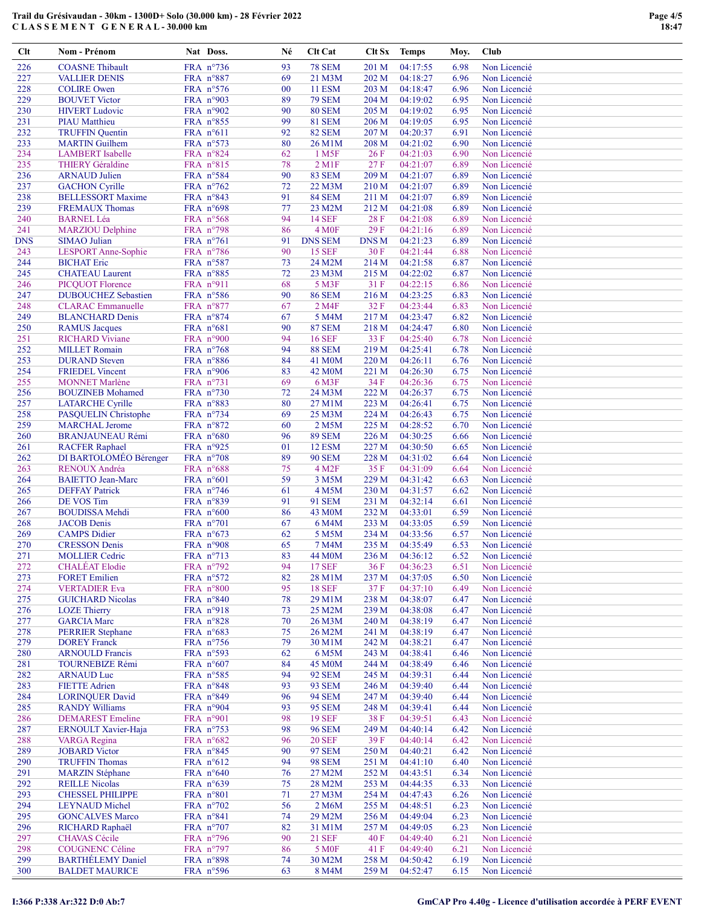| $Cl$ t     | Nom - Prénom                                    | Nat Doss.                                | Né       | Clt Cat                             | Clt Sx         | <b>Temps</b>         | Moy.         | Club                         |
|------------|-------------------------------------------------|------------------------------------------|----------|-------------------------------------|----------------|----------------------|--------------|------------------------------|
| 226        | <b>COASNE Thibault</b>                          | FRA n°736                                | 93       | <b>78 SEM</b>                       | 201 M          | 04:17:55             | 6.98         | Non Licencié                 |
| 227        | <b>VALLIER DENIS</b>                            | FRA n°887                                | 69       | 21 M3M                              | 202 M          | 04:18:27             | 6.96         | Non Licencié                 |
| 228        | <b>COLIRE Owen</b>                              | FRA n°576                                | $00\,$   | <b>11 ESM</b>                       | 203 M          | 04:18:47             | 6.96         | Non Licencié                 |
| 229        | <b>BOUVET Victor</b>                            | FRA n°903                                | 89       | <b>79 SEM</b>                       | 204 M          | 04:19:02             | 6.95         | Non Licencié                 |
| 230        | <b>HIVERT</b> Ludovic                           | FRA n°902                                | 90       | <b>80 SEM</b>                       | 205 M          | 04:19:02             | 6.95         | Non Licencié                 |
| 231<br>232 | <b>PIAU</b> Matthieu<br><b>TRUFFIN Quentin</b>  | FRA n°855<br>FRA n°611                   | 99<br>92 | <b>81 SEM</b><br><b>82 SEM</b>      | 206 M<br>207 M | 04:19:05<br>04:20:37 | 6.95<br>6.91 | Non Licencié<br>Non Licencié |
| 233        | <b>MARTIN</b> Guilhem                           | FRA n°573                                | 80       | 26 M1M                              | 208 M          | 04:21:02             | 6.90         | Non Licencié                 |
| 234        | <b>LAMBERT</b> Isabelle                         | FRA n°824                                | 62       | 1 M <sub>5F</sub>                   | 26F            | 04:21:03             | 6.90         | Non Licencié                 |
| 235        | <b>THIERY</b> Géraldine                         | FRA n°815                                | 78       | $2$ M <sub>1</sub> F                | 27 F           | 04:21:07             | 6.89         | Non Licencié                 |
| 236        | <b>ARNAUD Julien</b>                            | FRA n°584                                | 90       | <b>83 SEM</b>                       | 209 M          | 04:21:07             | 6.89         | Non Licencié                 |
| 237        | <b>GACHON</b> Cyrille                           | FRA n°762                                | 72       | 22 M3M                              | 210 M          | 04:21:07             | 6.89         | Non Licencié                 |
| 238        | <b>BELLESSORT Maxime</b>                        | FRA n°843                                | 91       | <b>84 SEM</b>                       | 211 M          | 04:21:07             | 6.89         | Non Licencié                 |
| 239        | <b>FREMAUX Thomas</b>                           | FRA n°698                                | 77       | 23 M2M                              | 212 M          | 04:21:08             | 6.89         | Non Licencié                 |
| 240<br>241 | <b>BARNEL Léa</b><br><b>MARZIOU Delphine</b>    | FRA n°568<br>FRA n°798                   | 94<br>86 | <b>14 SEF</b><br>4 M <sub>OF</sub>  | 28 F<br>29F    | 04:21:08<br>04:21:16 | 6.89<br>6.89 | Non Licencié<br>Non Licencié |
| <b>DNS</b> | <b>SIMAO</b> Julian                             | FRA n°761                                | 91       | <b>DNS SEM</b>                      | <b>DNSM</b>    | 04:21:23             | 6.89         | Non Licencié                 |
| 243        | <b>LESPORT Anne-Sophie</b>                      | FRA n°786                                | 90       | <b>15 SEF</b>                       | 30F            | 04:21:44             | 6.88         | Non Licencié                 |
| 244        | <b>BICHAT Eric</b>                              | FRA n°587                                | 73       | 24 M2M                              | 214 M          | 04:21:58             | 6.87         | Non Licencié                 |
| 245        | <b>CHATEAU</b> Laurent                          | FRA $n^{\circ}885$                       | 72       | 23 M3M                              | 215 M          | 04:22:02             | 6.87         | Non Licencié                 |
| 246        | <b>PICQUOT Florence</b>                         | FRA nº911                                | 68       | 5 M3F                               | 31 F           | 04:22:15             | 6.86         | Non Licencié                 |
| 247        | <b>DUBOUCHEZ Sebastien</b>                      | FRA n°586                                | 90       | <b>86 SEM</b>                       | 216 M          | 04:23:25             | 6.83         | Non Licencié                 |
| 248        | <b>CLARAC</b> Emmanuelle                        | FRA n°877                                | 67       | 2 M <sub>4F</sub>                   | 32 F           | 04:23:44             | 6.83         | Non Licencié                 |
| 249        | <b>BLANCHARD Denis</b>                          | FRA n°874                                | 67       | 5 M4M                               | 217 M          | 04:23:47             | 6.82         | Non Licencié                 |
| 250<br>251 | <b>RAMUS</b> Jacques<br><b>RICHARD Viviane</b>  | FRA n°681<br>FRA n°900                   | 90<br>94 | <b>87 SEM</b><br><b>16 SEF</b>      | 218 M<br>33 F  | 04:24:47<br>04:25:40 | 6.80<br>6.78 | Non Licencié<br>Non Licencié |
| 252        | <b>MILLET</b> Romain                            | FRA $n^{\circ}768$                       | 94       | <b>88 SEM</b>                       | 219 M          | 04:25:41             | 6.78         | Non Licencié                 |
| 253        | <b>DURAND</b> Steven                            | FRA n°886                                | 84       | 41 M <sub>0</sub> M                 | 220 M          | 04:26:11             | 6.76         | Non Licencié                 |
| 254        | <b>FRIEDEL Vincent</b>                          | FRA n°906                                | 83       | 42 M <sub>0</sub> M                 | 221 M          | 04:26:30             | 6.75         | Non Licencié                 |
| 255        | <b>MONNET</b> Marlène                           | FRA n°731                                | 69       | 6 M3F                               | 34 F           | 04:26:36             | 6.75         | Non Licencié                 |
| 256        | <b>BOUZINEB</b> Mohamed                         | FRA n°730                                | 72       | 24 M3M                              | 222 M          | 04:26:37             | 6.75         | Non Licencié                 |
| 257        | <b>LATARCHE Cyrille</b>                         | FRA n°883                                | 80       | 27 M1M                              | 223 M          | 04:26:41             | 6.75         | Non Licencié                 |
| 258        | <b>PASQUELIN</b> Christophe                     | FRA n°734                                | 69       | 25 M3M                              | 224 M          | 04:26:43             | 6.75         | Non Licencié                 |
| 259        | <b>MARCHAL Jerome</b>                           | FRA n°872                                | 60       | 2 M5M                               | 225 M          | 04:28:52             | 6.70         | Non Licencié                 |
| 260        | <b>BRANJAUNEAU Rémi</b>                         | FRA n°680                                | 96       | <b>89 SEM</b>                       | 226 M          | 04:30:25             | 6.66         | Non Licencié                 |
| 261        | <b>RACFER Raphael</b>                           | FRA nº925                                | 01       | <b>12 ESM</b>                       | 227 M          | 04:30:50             | 6.65         | Non Licencié                 |
| 262<br>263 | DI BARTOLOMÉO Bérenger<br><b>RENOUX Andréa</b>  | FRA n°708<br>FRA n°688                   | 89<br>75 | <b>90 SEM</b><br>4 M <sub>2</sub> F | 228 M<br>35F   | 04:31:02<br>04:31:09 | 6.64<br>6.64 | Non Licencié<br>Non Licencié |
| 264        | <b>BAIETTO Jean-Marc</b>                        | FRA $n^{\circ}601$                       | 59       | 3 M5M                               | 229 M          | 04:31:42             | 6.63         | Non Licencié                 |
| 265        | <b>DEFFAY Patrick</b>                           | FRA n°746                                | 61       | 4 M5M                               | 230 M          | 04:31:57             | 6.62         | Non Licencié                 |
| 266        | DE VOS Tim                                      | FRA n°839                                | 91       | 91 SEM                              | 231 M          | 04:32:14             | 6.61         | Non Licencié                 |
| 267        | <b>BOUDISSA Mehdi</b>                           | FRA n°600                                | 86       | 43 M0M                              | 232 M          | 04:33:01             | 6.59         | Non Licencié                 |
| 268        | <b>JACOB</b> Denis                              | FRA n°701                                | 67       | 6 M4M                               | 233 M          | 04:33:05             | 6.59         | Non Licencié                 |
| 269        | <b>CAMPS Didier</b>                             | FRA n°673                                | 62       | 5 M5M                               | 234 M          | 04:33:56             | 6.57         | Non Licencié                 |
| 270        | <b>CRESSON</b> Denis                            | FRA n°908                                | 65       | 7 M4M                               | 235 M          | 04:35:49             | 6.53         | Non Licencié                 |
| 271        | <b>MOLLIER Cedric</b>                           | FRA n°713                                | 83       | 44 M <sub>0</sub> M                 | 236 M          | 04:36:12             | 6.52         | Non Licencié                 |
| 272        | <b>CHALÉAT</b> Elodie                           | FRA n°792                                | 94       | <b>17 SEF</b>                       | 36 F           | 04:36:23             | 6.51         | Non Licencié                 |
| 273<br>274 | <b>FORET Emilien</b><br><b>VERTADIER Eva</b>    | FRA n°572<br>FRA n°800                   | 82<br>95 | 28 M1M<br><b>18 SEF</b>             | 237 M<br>37 F  | 04:37:05<br>04:37:10 | 6.50<br>6.49 | Non Licencié<br>Non Licencié |
| 275        | <b>GUICHARD Nicolas</b>                         | FRA n°840                                | 78       | 29 M1M                              | 238 M          | 04:38:07             | 6.47         | Non Licencié                 |
| 276        | <b>LOZE</b> Thierry                             | FRA nº918                                | 73       | 25 M2M                              | 239 M          | 04:38:08             | 6.47         | Non Licencié                 |
| 277        | <b>GARCIA</b> Marc                              | FRA n°828                                | 70       | 26 M3M                              | 240 M          | 04:38:19             | 6.47         | Non Licencié                 |
| 278        | <b>PERRIER Stephane</b>                         | FRA $n^{\circ}683$                       | 75       | 26 M2M                              | 241 M          | 04:38:19             | 6.47         | Non Licencié                 |
| 279        | <b>DOREY Franck</b>                             | FRA n°756                                | 79       | 30 M1M                              | 242 M          | 04:38:21             | 6.47         | Non Licencié                 |
| 280        | <b>ARNOULD Francis</b>                          | FRA n°593                                | 62       | 6 M5M                               | 243 M          | 04:38:41             | 6.46         | Non Licencié                 |
| 281        | <b>TOURNEBIZE Rémi</b>                          | FRA n°607                                | 84       | 45 M <sub>0</sub> M                 | 244 M          | 04:38:49             | 6.46         | Non Licencié                 |
| 282        | <b>ARNAUD Luc</b>                               | FRA nº585                                | 94       | <b>92 SEM</b>                       | 245 M          | 04:39:31             | 6.44         | Non Licencié                 |
| 283        | <b>FIETTE Adrien</b>                            | FRA n°848                                | 93       | <b>93 SEM</b>                       | 246 M          | 04:39:40             | 6.44         | Non Licencié                 |
| 284<br>285 | <b>LORINQUER David</b><br><b>RANDY Williams</b> | FRA n°849<br>FRA n°904                   | 96<br>93 | <b>94 SEM</b><br><b>95 SEM</b>      | 247 M<br>248 M | 04:39:40<br>04:39:41 | 6.44<br>6.44 | Non Licencié<br>Non Licencié |
| 286        | <b>DEMAREST Emeline</b>                         | FRA n°901                                | 98       | <b>19 SEF</b>                       | 38F            | 04:39:51             | 6.43         | Non Licencié                 |
| 287        | <b>ERNOULT Xavier-Haja</b>                      | FRA n°753                                | 98       | <b>96 SEM</b>                       | 249 M          | 04:40:14             | 6.42         | Non Licencié                 |
| 288        | <b>VARGA</b> Regina                             | FRA $n^{\circ}682$                       | 96       | <b>20 SEF</b>                       | 39 F           | 04:40:14             | 6.42         | Non Licencié                 |
| 289        | <b>JOBARD</b> Victor                            | FRA $n^{\circ}845$                       | 90       | <b>97 SEM</b>                       | 250 M          | 04:40:21             | 6.42         | Non Licencié                 |
| 290        | <b>TRUFFIN Thomas</b>                           | FRA $n^{\circ}612$                       | 94       | <b>98 SEM</b>                       | 251 M          | 04:41:10             | 6.40         | Non Licencié                 |
| 291        | <b>MARZIN Stéphane</b>                          | FRA $n^{\circ}640$                       | 76       | 27 M2M                              | 252 M          | 04:43:51             | 6.34         | Non Licencié                 |
| 292        | <b>REILLE Nicolas</b>                           | FRA $n^{\circ}639$                       | 75       | 28 M2M                              | 253 M          | 04:44:35             | 6.33         | Non Licencié                 |
| 293        | <b>CHESSEL PHILIPPE</b>                         | FRA n°801                                | 71       | 27 M3M                              | 254 M          | 04:47:43             | 6.26         | Non Licencié                 |
| 294<br>295 | <b>LEYNAUD</b> Michel                           | FRA n°702                                | 56       | 2 M6M                               | 255 M          | 04:48:51             | 6.23<br>6.23 | Non Licencié<br>Non Licencié |
| 296        | <b>GONCALVES Marco</b><br>RICHARD Raphaël       | FRA $n^{\circ}841$<br>FRA $n^{\circ}707$ | 74<br>82 | 29 M2M<br>31 M1M                    | 256 M<br>257 M | 04:49:04<br>04:49:05 | 6.23         | Non Licencié                 |
| 297        | <b>CHAVAS</b> Cécile                            | FRA n°796                                | 90       | <b>21 SEF</b>                       | 40 F           | 04:49:40             | 6.21         | Non Licencié                 |
| 298        | <b>COUGNENC Céline</b>                          | FRA n°797                                | 86       | 5 M <sub>OF</sub>                   | 41 F           | 04:49:40             | 6.21         | Non Licencié                 |
| 299        | <b>BARTHÉLEMY Daniel</b>                        | FRA n°898                                | 74       | 30 M2M                              | 258 M          | 04:50:42             | 6.19         | Non Licencié                 |
| 300        | <b>BALDET MAURICE</b>                           | FRA n°596                                | 63       | 8 M4M                               | 259 M          | 04:52:47             | 6.15         | Non Licencié                 |
|            |                                                 |                                          |          |                                     |                |                      |              |                              |